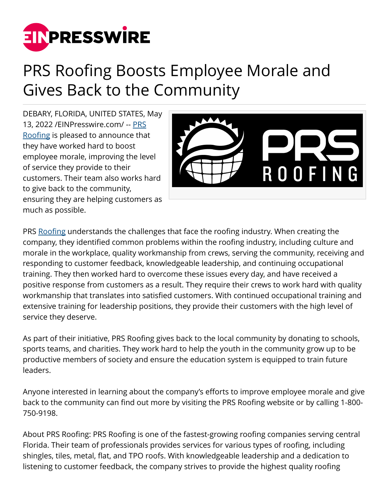

## PRS Roofing Boosts Employee Morale and Gives Back to the Community

DEBARY, FLORIDA, UNITED STATES, May 13, 2022 /[EINPresswire.com/](http://www.einpresswire.com) -- [PRS](https://maps.google.com/maps?cid=5744758950474202013) [Roofing](https://maps.google.com/maps?cid=5744758950474202013) is pleased to announce that they have worked hard to boost employee morale, improving the level of service they provide to their customers. Their team also works hard to give back to the community, ensuring they are helping customers as much as possible.



PRS [Roofing](https://prsroofpro.com/) understands the challenges that face the roofing industry. When creating the company, they identified common problems within the roofing industry, including culture and morale in the workplace, quality workmanship from crews, serving the community, receiving and responding to customer feedback, knowledgeable leadership, and continuing occupational training. They then worked hard to overcome these issues every day, and have received a positive response from customers as a result. They require their crews to work hard with quality workmanship that translates into satisfied customers. With continued occupational training and extensive training for leadership positions, they provide their customers with the high level of service they deserve.

As part of their initiative, PRS Roofing gives back to the local community by donating to schools, sports teams, and charities. They work hard to help the youth in the community grow up to be productive members of society and ensure the education system is equipped to train future leaders.

Anyone interested in learning about the company's efforts to improve employee morale and give back to the community can find out more by visiting the PRS Roofing website or by calling 1-800- 750-9198.

About PRS Roofing: PRS Roofing is one of the fastest-growing roofing companies serving central Florida. Their team of professionals provides services for various types of roofing, including shingles, tiles, metal, flat, and TPO roofs. With knowledgeable leadership and a dedication to listening to customer feedback, the company strives to provide the highest quality roofing